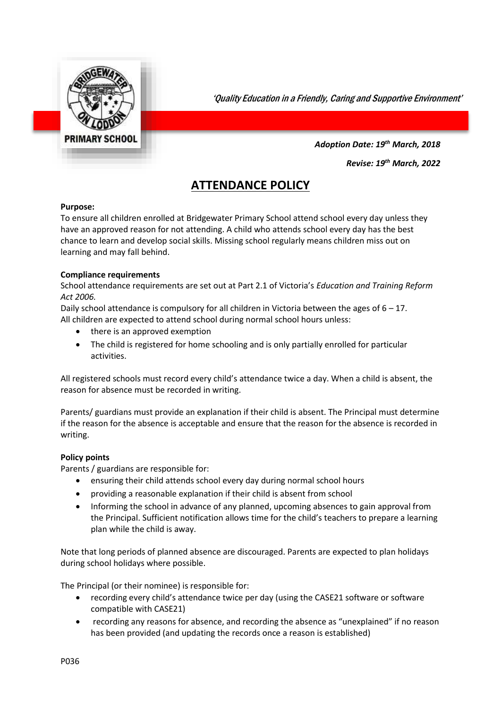

'Quality Education in a Friendly, Caring and Supportive Environment'

*Adoption Date: 19th March, 2018*

*Revise: 19th March, 2022*

# **ATTENDANCE POLICY**

#### **Purpose:**

To ensure all children enrolled at Bridgewater Primary School attend school every day unless they have an approved reason for not attending. A child who attends school every day has the best chance to learn and develop social skills. Missing school regularly means children miss out on learning and may fall behind.

# **Compliance requirements**

School attendance requirements are set out at Part 2.1 of Victoria's *Education and Training Reform Act 2006.* 

Daily school attendance is compulsory for all children in Victoria between the ages of  $6 - 17$ . All children are expected to attend school during normal school hours unless:

- there is an approved exemption
- The child is registered for home schooling and is only partially enrolled for particular activities.

All registered schools must record every child's attendance twice a day. When a child is absent, the reason for absence must be recorded in writing.

Parents/ guardians must provide an explanation if their child is absent. The Principal must determine if the reason for the absence is acceptable and ensure that the reason for the absence is recorded in writing.

# **Policy points**

Parents / guardians are responsible for:

- ensuring their child attends school every day during normal school hours
- providing a reasonable explanation if their child is absent from school
- Informing the school in advance of any planned, upcoming absences to gain approval from the Principal. Sufficient notification allows time for the child's teachers to prepare a learning plan while the child is away.

Note that long periods of planned absence are discouraged. Parents are expected to plan holidays during school holidays where possible.

The Principal (or their nominee) is responsible for:

- recording every child's attendance twice per day (using the CASE21 software or software compatible with CASE21)
- recording any reasons for absence, and recording the absence as "unexplained" if no reason has been provided (and updating the records once a reason is established)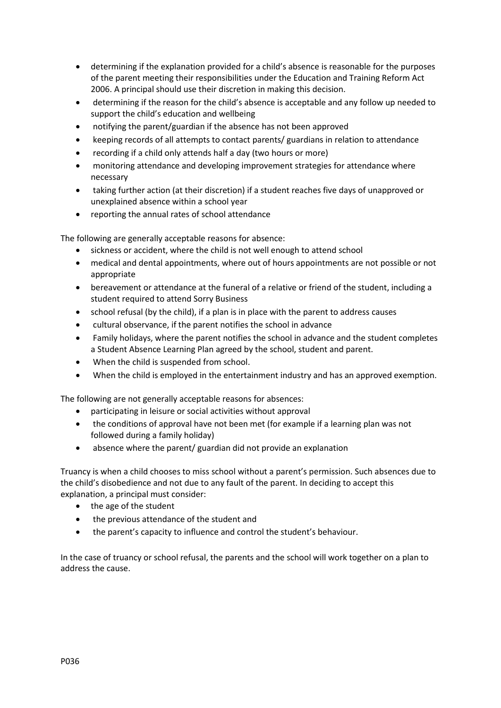- determining if the explanation provided for a child's absence is reasonable for the purposes of the parent meeting their responsibilities under the Education and Training Reform Act 2006. A principal should use their discretion in making this decision.
- determining if the reason for the child's absence is acceptable and any follow up needed to support the child's education and wellbeing
- notifying the parent/guardian if the absence has not been approved
- keeping records of all attempts to contact parents/ guardians in relation to attendance
- recording if a child only attends half a day (two hours or more)
- monitoring attendance and developing improvement strategies for attendance where necessary
- taking further action (at their discretion) if a student reaches five days of unapproved or unexplained absence within a school year
- reporting the annual rates of school attendance

The following are generally acceptable reasons for absence:

- sickness or accident, where the child is not well enough to attend school
- medical and dental appointments, where out of hours appointments are not possible or not appropriate
- bereavement or attendance at the funeral of a relative or friend of the student, including a student required to attend Sorry Business
- school refusal (by the child), if a plan is in place with the parent to address causes
- cultural observance, if the parent notifies the school in advance
- Family holidays, where the parent notifies the school in advance and the student completes a Student Absence Learning Plan agreed by the school, student and parent.
- When the child is suspended from school.
- When the child is employed in the entertainment industry and has an approved exemption.

The following are not generally acceptable reasons for absences:

- participating in leisure or social activities without approval
- the conditions of approval have not been met (for example if a learning plan was not followed during a family holiday)
- absence where the parent/ guardian did not provide an explanation

Truancy is when a child chooses to miss school without a parent's permission. Such absences due to the child's disobedience and not due to any fault of the parent. In deciding to accept this explanation, a principal must consider:

- the age of the student
- the previous attendance of the student and
- the parent's capacity to influence and control the student's behaviour.

In the case of truancy or school refusal, the parents and the school will work together on a plan to address the cause.